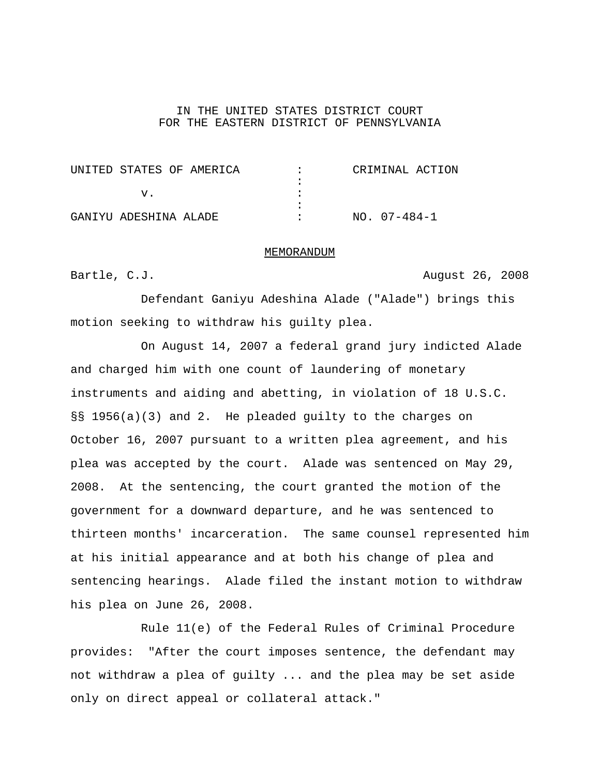## IN THE UNITED STATES DISTRICT COURT FOR THE EASTERN DISTRICT OF PENNSYLVANIA

| UNITED STATES OF AMERICA | CRIMINAL ACTION |
|--------------------------|-----------------|
|                          |                 |
|                          |                 |
|                          |                 |
| GANIYU ADESHINA ALADE    | NO. 07-484-1    |

## MEMORANDUM

Bartle, C.J. **August 26, 2008** 

Defendant Ganiyu Adeshina Alade ("Alade") brings this motion seeking to withdraw his guilty plea.

On August 14, 2007 a federal grand jury indicted Alade and charged him with one count of laundering of monetary instruments and aiding and abetting, in violation of 18 U.S.C. §§ 1956(a)(3) and 2. He pleaded guilty to the charges on October 16, 2007 pursuant to a written plea agreement, and his plea was accepted by the court. Alade was sentenced on May 29, 2008. At the sentencing, the court granted the motion of the government for a downward departure, and he was sentenced to thirteen months' incarceration. The same counsel represented him at his initial appearance and at both his change of plea and sentencing hearings. Alade filed the instant motion to withdraw his plea on June 26, 2008.

Rule 11(e) of the Federal Rules of Criminal Procedure provides: "After the court imposes sentence, the defendant may not withdraw a plea of guilty ... and the plea may be set aside only on direct appeal or collateral attack."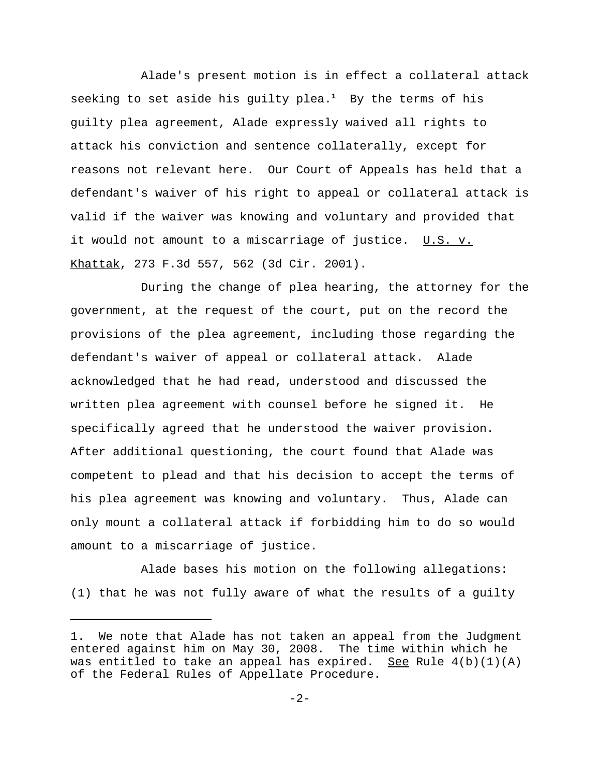Alade's present motion is in effect a collateral attack seeking to set aside his guilty plea.**<sup>1</sup>** By the terms of his guilty plea agreement, Alade expressly waived all rights to attack his conviction and sentence collaterally, except for reasons not relevant here. Our Court of Appeals has held that a defendant's waiver of his right to appeal or collateral attack is valid if the waiver was knowing and voluntary and provided that it would not amount to a miscarriage of justice. U.S. v. Khattak, 273 F.3d 557, 562 (3d Cir. 2001).

During the change of plea hearing, the attorney for the government, at the request of the court, put on the record the provisions of the plea agreement, including those regarding the defendant's waiver of appeal or collateral attack. Alade acknowledged that he had read, understood and discussed the written plea agreement with counsel before he signed it. He specifically agreed that he understood the waiver provision. After additional questioning, the court found that Alade was competent to plead and that his decision to accept the terms of his plea agreement was knowing and voluntary. Thus, Alade can only mount a collateral attack if forbidding him to do so would amount to a miscarriage of justice.

Alade bases his motion on the following allegations: (1) that he was not fully aware of what the results of a guilty

<sup>1.</sup> We note that Alade has not taken an appeal from the Judgment entered against him on May 30, 2008. The time within which he was entitled to take an appeal has expired. See Rule  $4(b)(1)(A)$ of the Federal Rules of Appellate Procedure.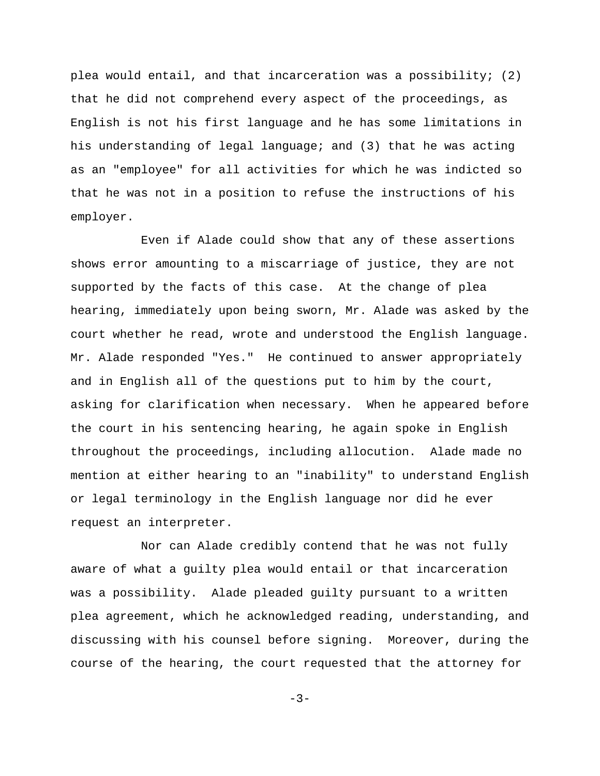plea would entail, and that incarceration was a possibility; (2) that he did not comprehend every aspect of the proceedings, as English is not his first language and he has some limitations in his understanding of legal language; and (3) that he was acting as an "employee" for all activities for which he was indicted so that he was not in a position to refuse the instructions of his employer.

Even if Alade could show that any of these assertions shows error amounting to a miscarriage of justice, they are not supported by the facts of this case. At the change of plea hearing, immediately upon being sworn, Mr. Alade was asked by the court whether he read, wrote and understood the English language. Mr. Alade responded "Yes." He continued to answer appropriately and in English all of the questions put to him by the court, asking for clarification when necessary. When he appeared before the court in his sentencing hearing, he again spoke in English throughout the proceedings, including allocution. Alade made no mention at either hearing to an "inability" to understand English or legal terminology in the English language nor did he ever request an interpreter.

Nor can Alade credibly contend that he was not fully aware of what a guilty plea would entail or that incarceration was a possibility. Alade pleaded guilty pursuant to a written plea agreement, which he acknowledged reading, understanding, and discussing with his counsel before signing. Moreover, during the course of the hearing, the court requested that the attorney for

 $-3-$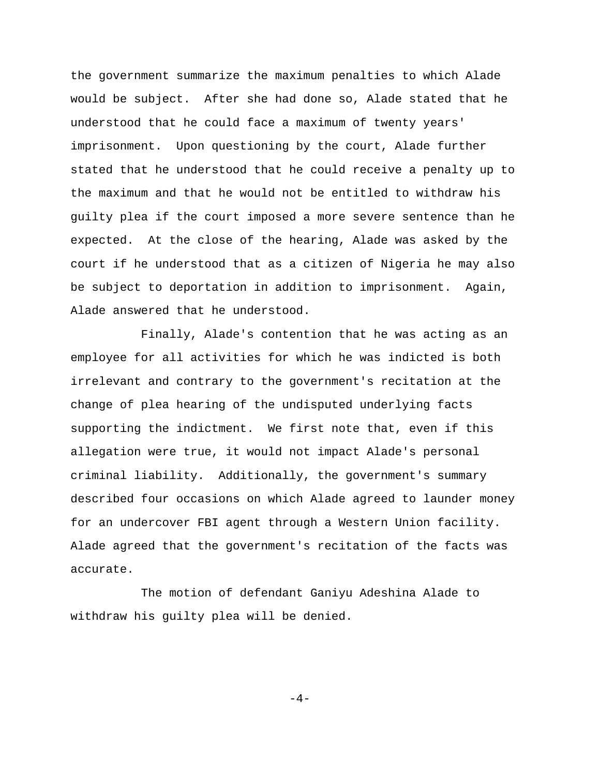the government summarize the maximum penalties to which Alade would be subject. After she had done so, Alade stated that he understood that he could face a maximum of twenty years' imprisonment. Upon questioning by the court, Alade further stated that he understood that he could receive a penalty up to the maximum and that he would not be entitled to withdraw his guilty plea if the court imposed a more severe sentence than he expected. At the close of the hearing, Alade was asked by the court if he understood that as a citizen of Nigeria he may also be subject to deportation in addition to imprisonment. Again, Alade answered that he understood.

Finally, Alade's contention that he was acting as an employee for all activities for which he was indicted is both irrelevant and contrary to the government's recitation at the change of plea hearing of the undisputed underlying facts supporting the indictment. We first note that, even if this allegation were true, it would not impact Alade's personal criminal liability. Additionally, the government's summary described four occasions on which Alade agreed to launder money for an undercover FBI agent through a Western Union facility. Alade agreed that the government's recitation of the facts was accurate.

The motion of defendant Ganiyu Adeshina Alade to withdraw his guilty plea will be denied.

 $-4-$